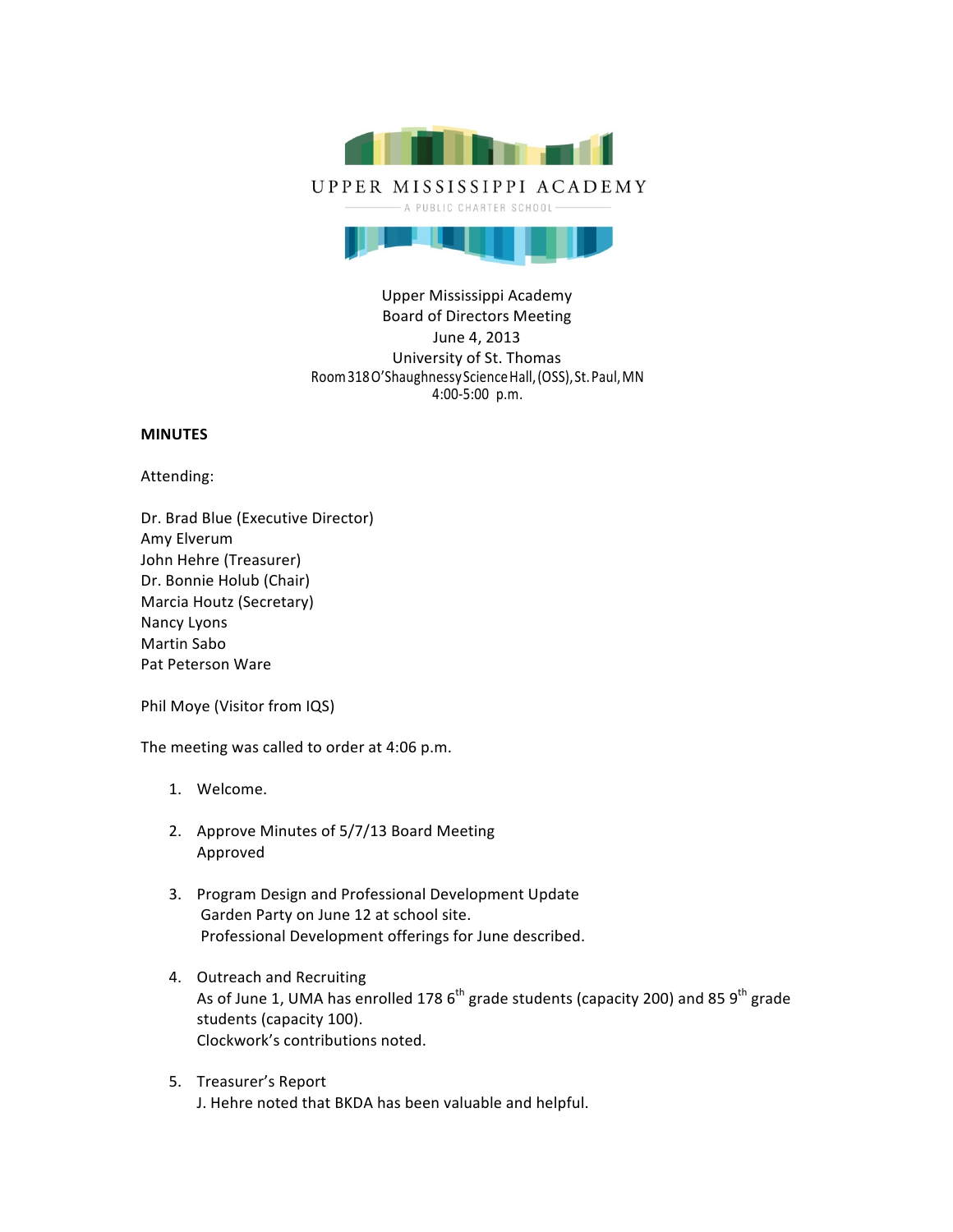

# Upper Mississippi Academy Board of Directors Meeting June 4, 2013 University of St. Thomas Room318O'ShaughnessyScienceHall,(OSS),St.Paul,MN 4:00-5:00 p.m.

## **MINUTES**

Attending:

Dr. Brad Blue (Executive Director) Amy Elverum John Hehre (Treasurer) Dr. Bonnie Holub (Chair) Marcia Houtz (Secretary) Nancy Lyons Martin Sabo Pat Peterson Ware

Phil Moye (Visitor from IQS)

The meeting was called to order at 4:06 p.m.

- 1. Welcome.
- 2. Approve Minutes of 5/7/13 Board Meeting Approved
- 3. Program Design and Professional Development Update Garden Party on June 12 at school site. Professional Development offerings for June described.
- 4. Outreach and Recruiting As of June 1, UMA has enrolled 178  $6<sup>th</sup>$  grade students (capacity 200) and 85  $9<sup>th</sup>$  grade students (capacity 100). Clockwork's contributions noted.
- 5. Treasurer's Report J. Hehre noted that BKDA has been valuable and helpful.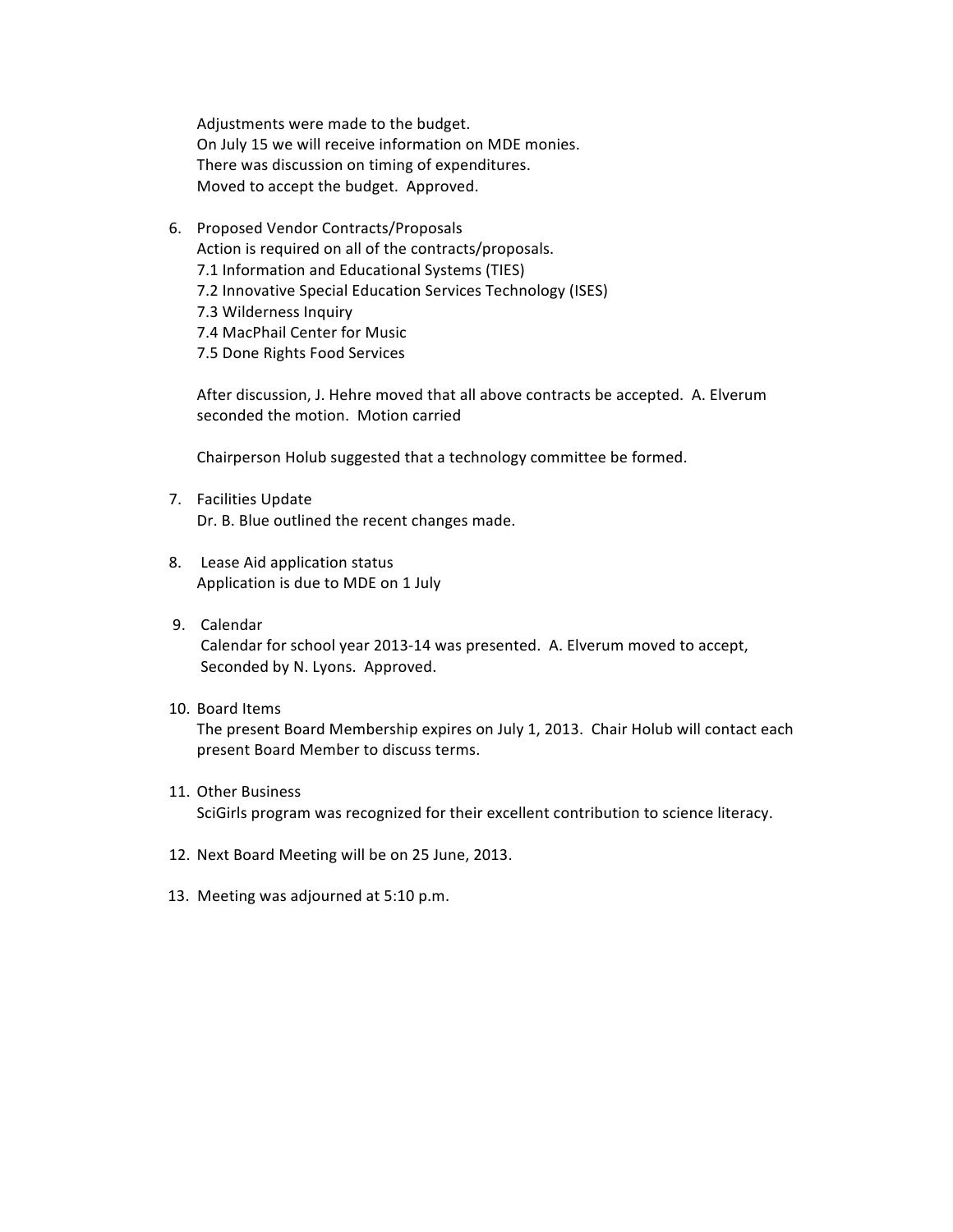Adjustments were made to the budget. On July 15 we will receive information on MDE monies. There was discussion on timing of expenditures. Moved to accept the budget. Approved.

6. Proposed Vendor Contracts/Proposals Action is required on all of the contracts/proposals. 7.1 Information and Educational Systems (TIES) 7.2 Innovative Special Education Services Technology (ISES) 7.3 Wilderness Inquiry 7.4 MacPhail Center for Music 7.5 Done Rights Food Services

After discussion, J. Hehre moved that all above contracts be accepted. A. Elverum seconded the motion. Motion carried

Chairperson Holub suggested that a technology committee be formed.

- 7. Facilities Update Dr. B. Blue outlined the recent changes made.
- 8. Lease Aid application status Application is due to MDE on 1 July
- 9. Calendar

Calendar for school year 2013-14 was presented. A. Elverum moved to accept, Seconded by N. Lyons. Approved.

10. Board Items

The present Board Membership expires on July 1, 2013. Chair Holub will contact each present Board Member to discuss terms.

- 11. Other Business SciGirls program was recognized for their excellent contribution to science literacy.
- 12. Next Board Meeting will be on 25 June, 2013.
- 13. Meeting was adjourned at 5:10 p.m.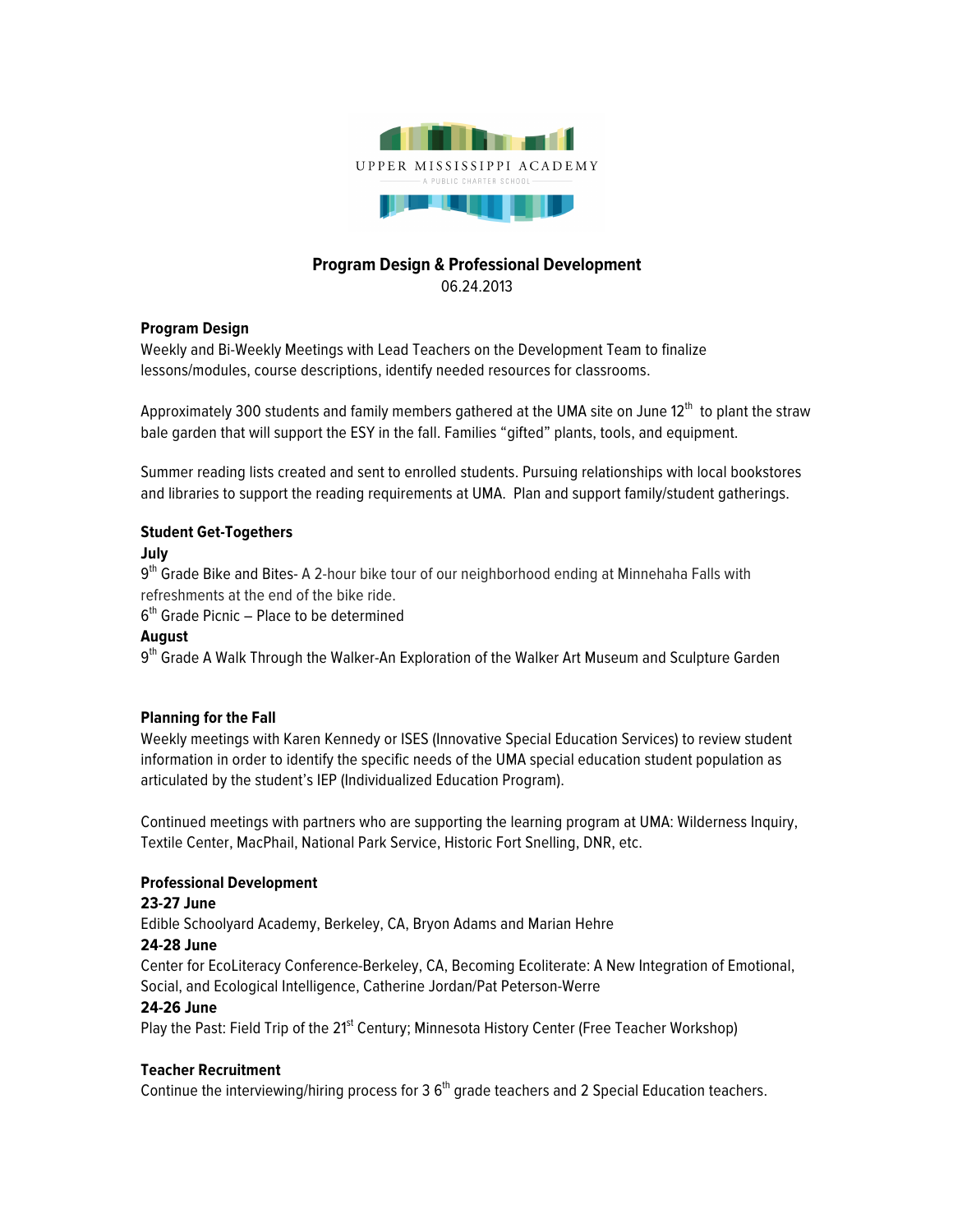

# **Program Design & Professional Development**

06.24.2013

## **Program Design**

Weekly and Bi-Weekly Meetings with Lead Teachers on the Development Team to finalize lessons/modules, course descriptions, identify needed resources for classrooms.

Approximately 300 students and family members gathered at the UMA site on June 12<sup>th</sup> to plant the straw bale garden that will support the ESY in the fall. Families "gifted" plants, tools, and equipment.

Summer reading lists created and sent to enrolled students. Pursuing relationships with local bookstores and libraries to support the reading requirements at UMA. Plan and support family/student gatherings.

## **Student Get-Togethers**

## **July**

9<sup>th</sup> Grade Bike and Bites- A 2-hour bike tour of our neighborhood ending at Minnehaha Falls with refreshments at the end of the bike ride.

 $6<sup>th</sup>$  Grade Picnic – Place to be determined

# **August**

9<sup>th</sup> Grade A Walk Through the Walker-An Exploration of the Walker Art Museum and Sculpture Garden

#### **Planning for the Fall**

Weekly meetings with Karen Kennedy or ISES (Innovative Special Education Services) to review student information in order to identify the specific needs of the UMA special education student population as articulated by the student's IEP (Individualized Education Program).

Continued meetings with partners who are supporting the learning program at UMA: Wilderness Inquiry, Textile Center, MacPhail, National Park Service, Historic Fort Snelling, DNR, etc.

#### **Professional Development**

#### **23-27 June**

Edible Schoolyard Academy, Berkeley, CA, Bryon Adams and Marian Hehre

#### **24-28 June**

Center for EcoLiteracy Conference-Berkeley, CA, Becoming Ecoliterate: A New Integration of Emotional, Social, and Ecological Intelligence, Catherine Jordan/Pat Peterson-Werre

#### **24-26 June**

Play the Past: Field Trip of the 21<sup>st</sup> Century; Minnesota History Center (Free Teacher Workshop)

# **Teacher Recruitment**

Continue the interviewing/hiring process for 3 $6<sup>th</sup>$  grade teachers and 2 Special Education teachers.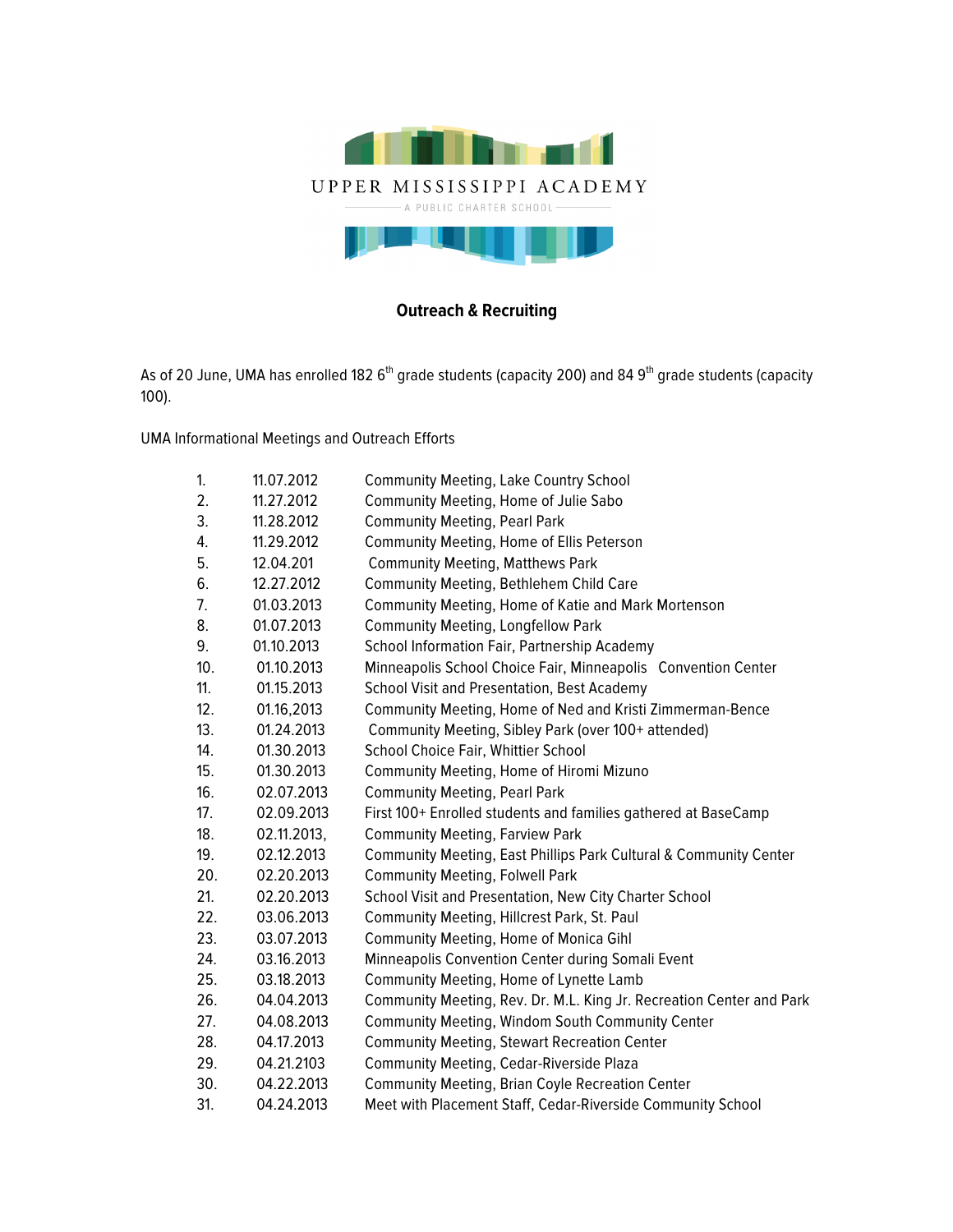

# **Outreach & Recruiting**

As of 20 June, UMA has enrolled 182 6<sup>th</sup> grade students (capacity 200) and 84 9<sup>th</sup> grade students (capacity 100).

UMA Informational Meetings and Outreach Efforts

| 1.  | 11.07.2012  | <b>Community Meeting, Lake Country School</b>                        |
|-----|-------------|----------------------------------------------------------------------|
| 2.  | 11.27.2012  | Community Meeting, Home of Julie Sabo                                |
| 3.  | 11.28.2012  | <b>Community Meeting, Pearl Park</b>                                 |
| 4.  | 11.29.2012  | Community Meeting, Home of Ellis Peterson                            |
| 5.  | 12.04.201   | <b>Community Meeting, Matthews Park</b>                              |
| 6.  | 12.27.2012  | Community Meeting, Bethlehem Child Care                              |
| 7.  | 01.03.2013  | Community Meeting, Home of Katie and Mark Mortenson                  |
| 8.  | 01.07.2013  | <b>Community Meeting, Longfellow Park</b>                            |
| 9.  | 01.10.2013  | School Information Fair, Partnership Academy                         |
| 10. | 01.10.2013  | Minneapolis School Choice Fair, Minneapolis Convention Center        |
| 11. | 01.15.2013  | School Visit and Presentation, Best Academy                          |
| 12. | 01.16,2013  | Community Meeting, Home of Ned and Kristi Zimmerman-Bence            |
| 13. | 01.24.2013  | Community Meeting, Sibley Park (over 100+ attended)                  |
| 14. | 01.30.2013  | School Choice Fair, Whittier School                                  |
| 15. | 01.30.2013  | Community Meeting, Home of Hiromi Mizuno                             |
| 16. | 02.07.2013  | <b>Community Meeting, Pearl Park</b>                                 |
| 17. | 02.09.2013  | First 100+ Enrolled students and families gathered at BaseCamp       |
| 18. | 02.11.2013, | <b>Community Meeting, Farview Park</b>                               |
| 19. | 02.12.2013  | Community Meeting, East Phillips Park Cultural & Community Center    |
| 20. | 02.20.2013  | <b>Community Meeting, Folwell Park</b>                               |
| 21. | 02.20.2013  | School Visit and Presentation, New City Charter School               |
| 22. | 03.06.2013  | Community Meeting, Hillcrest Park, St. Paul                          |
| 23. | 03.07.2013  | Community Meeting, Home of Monica Gihl                               |
| 24. | 03.16.2013  | Minneapolis Convention Center during Somali Event                    |
| 25. | 03.18.2013  | Community Meeting, Home of Lynette Lamb                              |
| 26. | 04.04.2013  | Community Meeting, Rev. Dr. M.L. King Jr. Recreation Center and Park |
| 27. | 04.08.2013  | Community Meeting, Windom South Community Center                     |
| 28. | 04.17.2013  | <b>Community Meeting, Stewart Recreation Center</b>                  |
| 29. | 04.21.2103  | Community Meeting, Cedar-Riverside Plaza                             |
| 30. | 04.22.2013  | <b>Community Meeting, Brian Coyle Recreation Center</b>              |
| 31. | 04.24.2013  | Meet with Placement Staff, Cedar-Riverside Community School          |